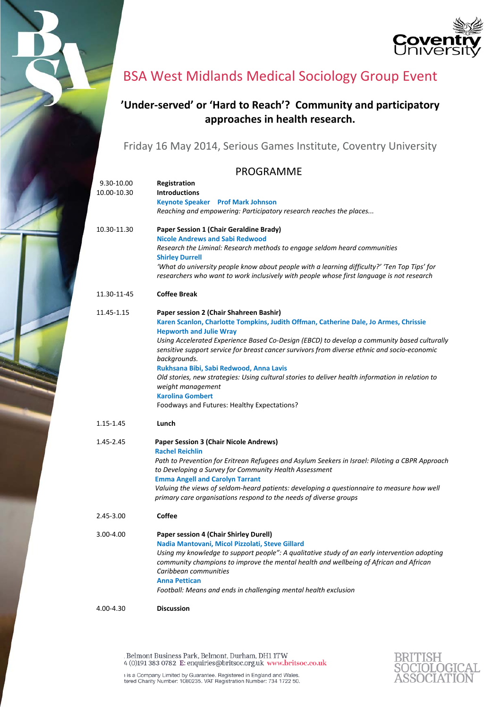



## BSA West Midlands Medical Sociology Group Event

## **'Under‐served' or 'Hard to Reach'? Community and participatory approaches in health research.**

Friday 16 May 2014, Serious Games Institute, Coventry University

## PROGRAMME

| 9.30-10.00<br>10.00-10.30 | Registration<br><b>Introductions</b><br><b>Keynote Speaker</b> Prof Mark Johnson<br>Reaching and empowering: Participatory research reaches the places                                                                                                                                                                                                                                                                                                                                                                                                                                                                         |
|---------------------------|--------------------------------------------------------------------------------------------------------------------------------------------------------------------------------------------------------------------------------------------------------------------------------------------------------------------------------------------------------------------------------------------------------------------------------------------------------------------------------------------------------------------------------------------------------------------------------------------------------------------------------|
| 10.30-11.30               | Paper Session 1 (Chair Geraldine Brady)<br><b>Nicole Andrews and Sabi Redwood</b><br>Research the Liminal: Research methods to engage seldom heard communities<br><b>Shirley Durrell</b><br>'What do university people know about people with a learning difficulty?' 'Ten Top Tips' for<br>researchers who want to work inclusively with people whose first language is not research                                                                                                                                                                                                                                          |
| 11.30-11-45               | <b>Coffee Break</b>                                                                                                                                                                                                                                                                                                                                                                                                                                                                                                                                                                                                            |
| 11.45-1.15                | Paper session 2 (Chair Shahreen Bashir)<br>Karen Scanlon, Charlotte Tompkins, Judith Offman, Catherine Dale, Jo Armes, Chrissie<br><b>Hepworth and Julie Wray</b><br>Using Accelerated Experience Based Co-Design (EBCD) to develop a community based culturally<br>sensitive support service for breast cancer survivors from diverse ethnic and socio-economic<br>backgrounds.<br>Rukhsana Bibi, Sabi Redwood, Anna Lavis<br>Old stories, new strategies: Using cultural stories to deliver health information in relation to<br>weight management<br><b>Karolina Gombert</b><br>Foodways and Futures: Healthy Expectations? |
| 1.15-1.45                 | Lunch                                                                                                                                                                                                                                                                                                                                                                                                                                                                                                                                                                                                                          |
| 1.45-2.45                 | Paper Session 3 (Chair Nicole Andrews)<br><b>Rachel Reichlin</b><br>Path to Prevention for Eritrean Refugees and Asylum Seekers in Israel: Piloting a CBPR Approach<br>to Developing a Survey for Community Health Assessment<br><b>Emma Angell and Carolyn Tarrant</b><br>Valuing the views of seldom-heard patients: developing a questionnaire to measure how well<br>primary care organisations respond to the needs of diverse groups                                                                                                                                                                                     |
| 2.45-3.00                 | <b>Coffee</b>                                                                                                                                                                                                                                                                                                                                                                                                                                                                                                                                                                                                                  |
| 3.00-4.00                 | <b>Paper session 4 (Chair Shirley Durell)</b><br>Nadia Mantovani, Micol Pizzolati, Steve Gillard<br>Using my knowledge to support people": A qualitative study of an early intervention adopting<br>community champions to improve the mental health and wellbeing of African and African<br>Caribbean communities<br><b>Anna Pettican</b><br>Football: Means and ends in challenging mental health exclusion                                                                                                                                                                                                                  |
| 4.00-4.30                 | <b>Discussion</b>                                                                                                                                                                                                                                                                                                                                                                                                                                                                                                                                                                                                              |

Belmont Business Park, Belmont, Durham, DH1 1TW 4 (0)<br>191 $383\,0782\,$  E: enquiries@britsoc.org.uk www.britsoc.co.uk